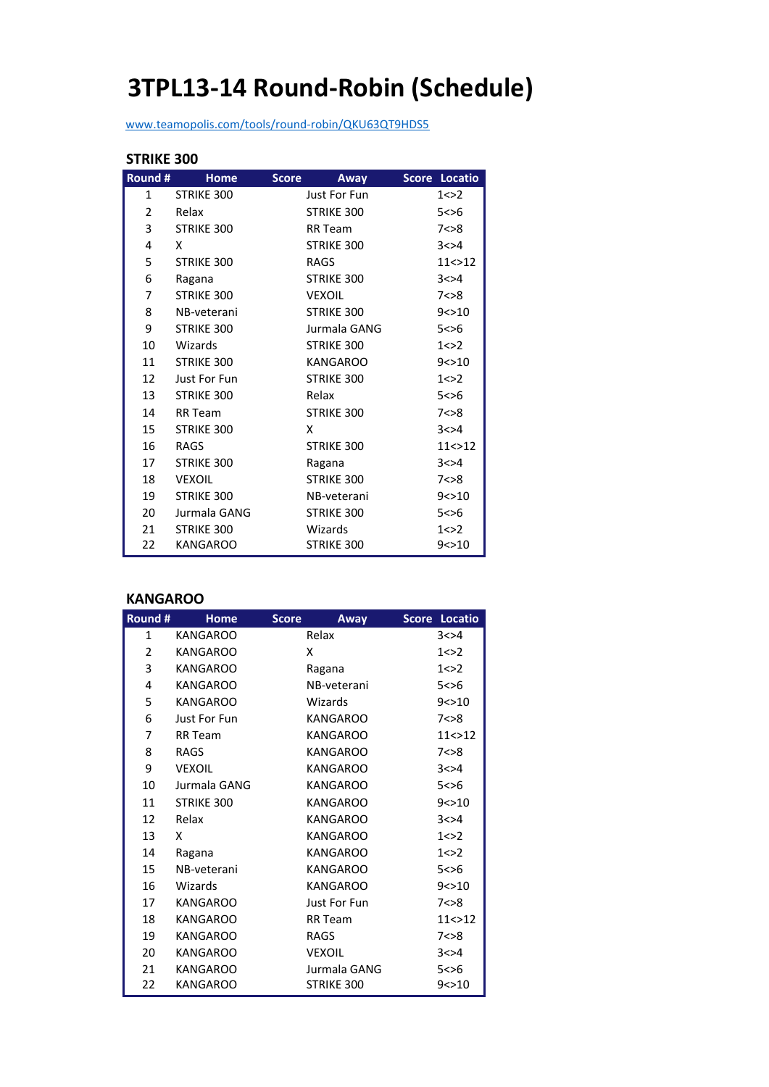# **3TPL13‐14 Round‐Robin (Schedule)**

www.teamopolis.com/tools/round‐robin/QKU63QT9HDS5

#### **STRIKE 300**

| Round #        | <b>Home</b>     | <b>Score</b><br>Away | Score Locatio |
|----------------|-----------------|----------------------|---------------|
| $\mathbf{1}$   | STRIKE 300      | Just For Fun         | 1 < > 2       |
| $\overline{2}$ | Relax           | STRIKE 300           | 5 < > 6       |
| 3              | STRIKE 300      | <b>RR</b> Team       | 7<>8          |
| 4              | x               | STRIKE 300           | 3 < > 4       |
| 5              | STRIKE 300      | <b>RAGS</b>          | 11 < > 12     |
| 6              | Ragana          | STRIKE 300           | 3 < > 4       |
| 7              | STRIKE 300      | <b>VEXOIL</b>        | 7 < > 8       |
| 8              | NB-veterani     | STRIKE 300           | 9 < > 10      |
| 9              | STRIKE 300      | Jurmala GANG         | 5 < > 6       |
| 10             | Wizards         | STRIKE 300           | 1 < > 2       |
| 11             | STRIKE 300      | <b>KANGAROO</b>      | 9 < > 10      |
| 12             | Just For Fun    | STRIKE 300           | 1 < > 2       |
| 13             | STRIKE 300      | Relax                | 5 < > 6       |
| 14             | RR Team         | STRIKE 300           | 7 < > 8       |
| 15             | STRIKE 300      | X                    | 3 < > 4       |
| 16             | <b>RAGS</b>     | STRIKE 300           | 11 < > 12     |
| 17             | STRIKE 300      | Ragana               | 3 < > 4       |
| 18             | <b>VEXOIL</b>   | STRIKE 300           | 7 < 8         |
| 19             | STRIKE 300      | NB-veterani          | 9 < > 10      |
| 20             | Jurmala GANG    | STRIKE 300           | 5 < > 6       |
| 21             | STRIKE 300      | Wizards              | 1 < > 2       |
| 22             | <b>KANGAROO</b> | <b>STRIKE 300</b>    | 9 < > 10      |

#### **KANGAROO**

| Round # | <b>Home</b>     | <b>Score</b> | Away              | <b>Score</b> | Locatio   |
|---------|-----------------|--------------|-------------------|--------------|-----------|
| 1       | <b>KANGAROO</b> | Relax        |                   |              | 3 < > 4   |
| 2       | <b>KANGAROO</b> | x            |                   |              | 1 < > 2   |
| 3       | <b>KANGAROO</b> |              | Ragana            |              | 1 < > 2   |
| 4       | <b>KANGAROO</b> |              | NB-veterani       |              | 5 < > 6   |
| 5       | <b>KANGAROO</b> |              | Wizards           |              | 9 < > 10  |
| 6       | Just For Fun    |              | <b>KANGAROO</b>   |              | 7 < > 8   |
| 7       | <b>RR</b> Team  |              | <b>KANGAROO</b>   |              | 11 < > 12 |
| 8       | <b>RAGS</b>     |              | <b>KANGAROO</b>   |              | 7 < > 8   |
| 9       | <b>VEXOIL</b>   |              | <b>KANGAROO</b>   |              | 3 < > 4   |
| 10      | Jurmala GANG    |              | <b>KANGAROO</b>   |              | 5 < 6     |
| 11      | STRIKE 300      |              | <b>KANGAROO</b>   |              | 9 < > 10  |
| 12      | Relax           |              | <b>KANGAROO</b>   |              | 3 < > 4   |
| 13      | x               |              | <b>KANGAROO</b>   |              | 1 < > 2   |
| 14      | Ragana          |              | KANGAROO          |              | 1 < > 2   |
| 15      | NB-veterani     |              | <b>KANGAROO</b>   |              | 5 < > 6   |
| 16      | Wizards         |              | KANGAROO          |              | 9 < > 10  |
| 17      | <b>KANGAROO</b> |              | Just For Fun      |              | 7 < > 8   |
| 18      | <b>KANGAROO</b> |              | RR Team           |              | 11 < > 12 |
| 19      | <b>KANGAROO</b> | <b>RAGS</b>  |                   |              | 7 < > 8   |
| 20      | <b>KANGAROO</b> |              | <b>VEXOIL</b>     |              | 3 < > 4   |
| 21      | <b>KANGAROO</b> |              | Jurmala GANG      |              | 5 < > 6   |
| 22      | <b>KANGAROO</b> |              | <b>STRIKE 300</b> |              | 9 < > 10  |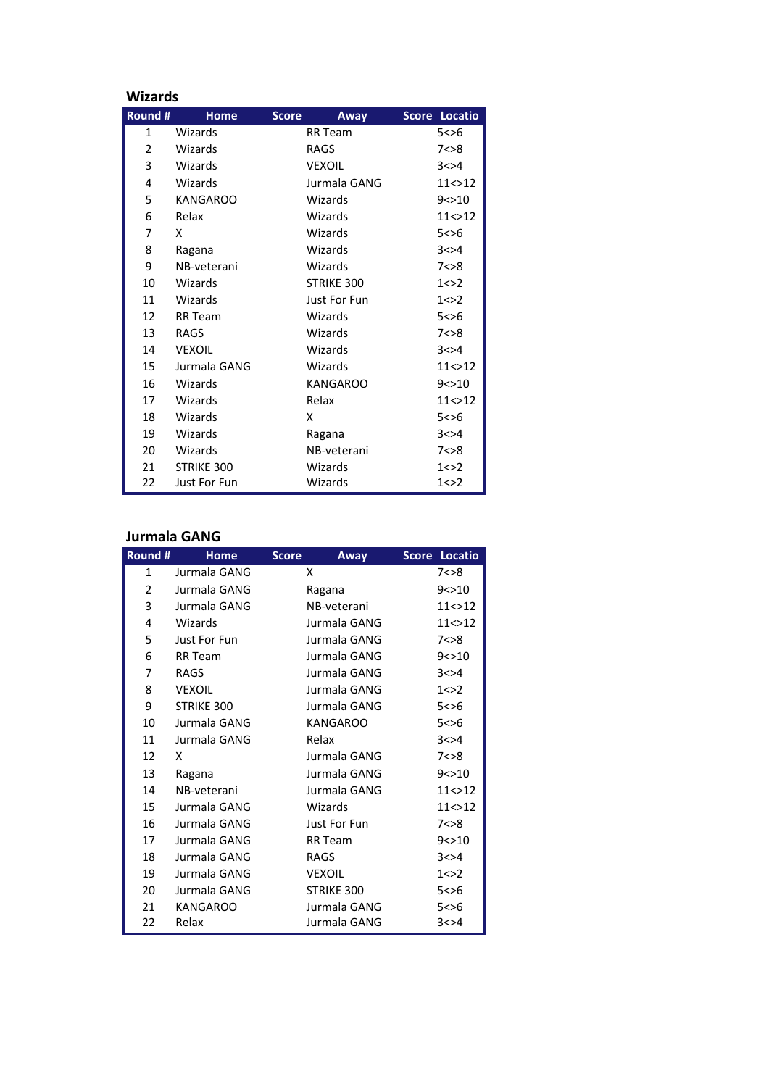|  |  |  | Wizards |  |
|--|--|--|---------|--|
|  |  |  |         |  |

| <b>Wizards</b>           |                 |                      |               |  |  |
|--------------------------|-----------------|----------------------|---------------|--|--|
| Round #                  | Home            | <b>Score</b><br>Away | Score Locatio |  |  |
| 1                        | Wizards         | <b>RR</b> Team       | 5 < > 6       |  |  |
| $\overline{\mathcal{L}}$ | Wizards         | RAGS                 | 7 < > 8       |  |  |
| 3                        | Wizards         | <b>VEXOIL</b>        | 3 < > 4       |  |  |
| 4                        | Wizards         | Jurmala GANG         | 11 < > 12     |  |  |
| 5                        | <b>KANGAROO</b> | Wizards              | 9 < > 10      |  |  |
| 6                        | Relax           | Wizards              | 11 < > 12     |  |  |
| 7                        | x               | Wizards              | 5 < > 6       |  |  |
| 8                        | Ragana          | Wizards              | 3 < > 4       |  |  |
| 9                        | NB-veterani     | Wizards              | 7 < > 8       |  |  |
| 10                       | Wizards         | STRIKE 300           | 1 < > 2       |  |  |
| 11                       | Wizards         | Just For Fun         | 1 < > 2       |  |  |
| 12                       | <b>RR Team</b>  | Wizards              | 5 < > 6       |  |  |
| 13                       | <b>RAGS</b>     | Wizards              | 7 < > 8       |  |  |
| 14                       | <b>VEXOIL</b>   | Wizards              | 3 < > 4       |  |  |
| 15                       | Jurmala GANG    | Wizards              | 11 < > 12     |  |  |
| 16                       | Wizards         | <b>KANGAROO</b>      | 9 < > 10      |  |  |
| 17                       | Wizards         | Relax                | 11 < > 12     |  |  |
| 18                       | Wizards         | x                    | 5 < > 6       |  |  |
| 19                       | Wizards         | Ragana               | 3 < > 4       |  |  |
| 20                       | Wizards         | NB-veterani          | 7 < > 8       |  |  |
| 21                       | STRIKE 300      | Wizards              | 1 < > 2       |  |  |
| 22                       | Just For Fun    | Wizards              | 1 < > 2       |  |  |

## **Jurmala GANG**

| Round #        | <b>Home</b>     | <b>Score</b> | Away              | Score Locatio |
|----------------|-----------------|--------------|-------------------|---------------|
| $\mathbf{1}$   | Jurmala GANG    | x            |                   | 7 < > 8       |
| $\overline{2}$ | Jurmala GANG    |              | Ragana            | 9 < > 10      |
| 3              | Jurmala GANG    |              | NB-veterani       | 11 < > 12     |
| 4              | Wizards         |              | Jurmala GANG      | 11 < > 12     |
| 5              | Just For Fun    |              | Jurmala GANG      | 7 < > 8       |
| 6              | <b>RR</b> Team  |              | Jurmala GANG      | 9 < > 10      |
| 7              | <b>RAGS</b>     |              | Jurmala GANG      | 3 < > 4       |
| 8              | <b>VEXOIL</b>   |              | Jurmala GANG      | 1 < > 2       |
| 9              | STRIKE 300      |              | Jurmala GANG      | 5 < 6         |
| 10             | Jurmala GANG    |              | <b>KANGAROO</b>   | 5 < > 6       |
| 11             | Jurmala GANG    |              | Relax             | 3 < > 4       |
| 12             | x               |              | Jurmala GANG      | 7 < > 8       |
| 13             | Ragana          |              | Jurmala GANG      | 9 < > 10      |
| 14             | NB-veterani     |              | Jurmala GANG      | 11 < > 12     |
| 15             | Jurmala GANG    |              | Wizards           | 11 < > 12     |
| 16             | Jurmala GANG    |              | Just For Fun      | 7 < > 8       |
| 17             | Jurmala GANG    |              | <b>RR</b> Team    | 9 < > 10      |
| 18             | Jurmala GANG    |              | <b>RAGS</b>       | 3 < > 4       |
| 19             | Jurmala GANG    |              | <b>VEXOIL</b>     | 1 < > 2       |
| 20             | Jurmala GANG    |              | <b>STRIKE 300</b> | 5 < > 6       |
| 21             | <b>KANGAROO</b> |              | Jurmala GANG      | 5 < > 6       |
| 22             | Relax           |              | Jurmala GANG      | 3 < > 4       |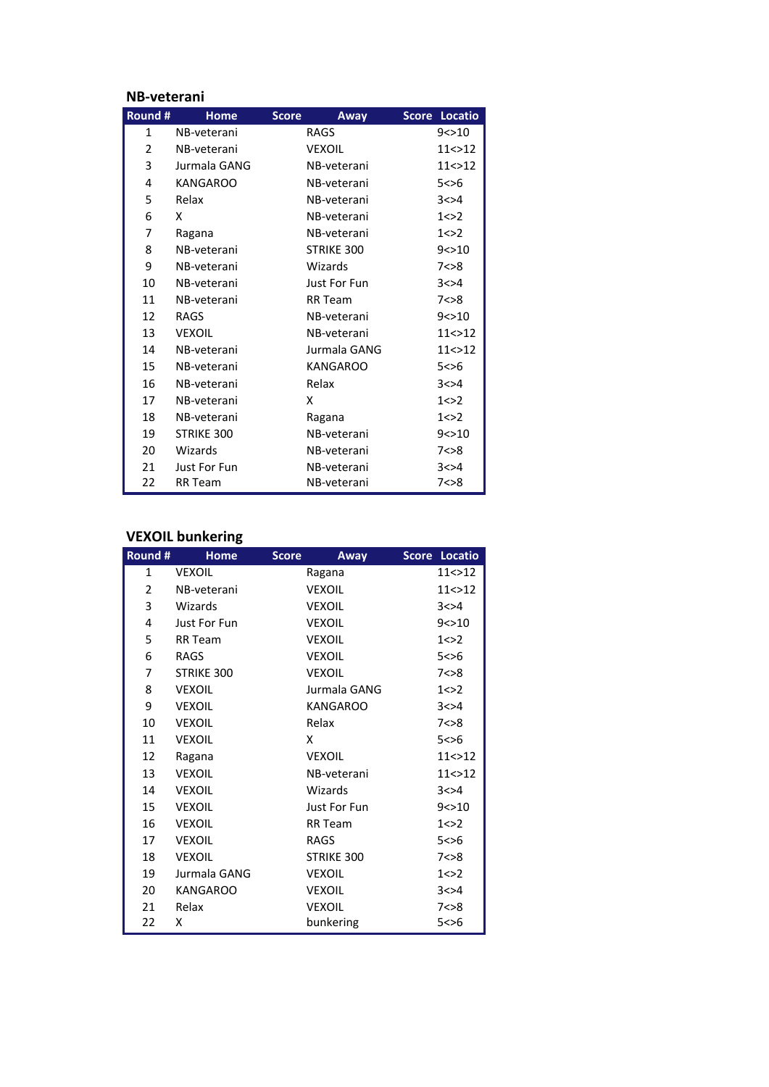#### **NB‐veterani**

| Round # | <b>Home</b>         | <b>Score</b><br>Away | Locatio<br><b>Score</b> |
|---------|---------------------|----------------------|-------------------------|
| 1       | NB-veterani         | RAGS                 | 9 < > 10                |
| 2       | NB-veterani         | VEXOIL               | 11 < > 12               |
| 3       | Jurmala GANG        | NB-veterani          | 11 < > 12               |
| 4       | <b>KANGAROO</b>     | NB-veterani          | 5 < > 6                 |
| 5       | Relax               | NB-veterani          | 3 < > 4                 |
| 6       | x                   | NB-veterani          | 1 < > 2                 |
| 7       | Ragana              | NB-veterani          | 1 < > 2                 |
| 8       | NB-veterani         | STRIKE 300           | 9 < > 10                |
| 9       | NB-veterani         | Wizards              | 7 < > 8                 |
| 10      | NB-veterani         | <b>Just For Fun</b>  | 3 < > 4                 |
| 11      | NB-veterani         | <b>RR</b> Team       | 7 < > 8                 |
| 12      | RAGS                | NB-veterani          | 9 < > 10                |
| 13      | <b>VEXOIL</b>       | NB-veterani          | 11 < > 12               |
| 14      | NB-veterani         | Jurmala GANG         | 11 < > 12               |
| 15      | NB-veterani         | <b>KANGAROO</b>      | 5 < > 6                 |
| 16      | NB-veterani         | Relax                | 3 < > 4                 |
| 17      | NB-veterani         | x                    | 1 < > 2                 |
| 18      | NB-veterani         | Ragana               | 1 < > 2                 |
| 19      | STRIKE 300          | NB-veterani          | 9 < > 10                |
| 20      | Wizards             | NB-veterani          | 7 < > 8                 |
| 21      | <b>Just For Fun</b> | NB-veterani          | 3 < > 4                 |
| 22      | <b>RR</b> Team      | NB-veterani          | 7 < > 8                 |

# **VEXOIL bunkering**

| Round #        | <b>Home</b>     | <b>Score</b><br>Away | <b>Score Locatio</b> |
|----------------|-----------------|----------------------|----------------------|
| $\mathbf{1}$   | <b>VEXOIL</b>   | Ragana               | 11 < > 12            |
| $\overline{2}$ | NB-veterani     | <b>VEXOIL</b>        | 11 < > 12            |
| 3              | Wizards         | <b>VEXOIL</b>        | 3 < > 4              |
| 4              | Just For Fun    | <b>VEXOIL</b>        | 9 < > 10             |
| 5              | <b>RR</b> Team  | <b>VEXOIL</b>        | 1 < > 2              |
| 6              | <b>RAGS</b>     | <b>VEXOIL</b>        | 5 < > 6              |
| 7              | STRIKE 300      | <b>VEXOIL</b>        | 7 < > 8              |
| 8              | <b>VEXOIL</b>   | Jurmala GANG         | 1 < > 2              |
| 9              | <b>VEXOIL</b>   | <b>KANGAROO</b>      | 3 < > 4              |
| 10             | <b>VEXOIL</b>   | Relax                | 7 < > 8              |
| 11             | <b>VEXOIL</b>   | x                    | 5 < > 6              |
| 12             | Ragana          | <b>VEXOIL</b>        | 11 < > 12            |
| 13             | <b>VEXOIL</b>   | NB-veterani          | 11 < > 12            |
| 14             | <b>VEXOIL</b>   | Wizards              | 3 < > 4              |
| 15             | <b>VEXOIL</b>   | Just For Fun         | 9 < > 10             |
| 16             | <b>VEXOIL</b>   | <b>RR</b> Team       | 1 < > 2              |
| 17             | <b>VEXOIL</b>   | <b>RAGS</b>          | 5 < > 6              |
| 18             | <b>VEXOIL</b>   | STRIKE 300           | 7 < > 8              |
| 19             | Jurmala GANG    | <b>VEXOIL</b>        | 1 < > 2              |
| 20             | <b>KANGAROO</b> | <b>VEXOIL</b>        | 3 < > 4              |
| 21             | Relax           | <b>VEXOIL</b>        | 7 < > 8              |
| 22             | x               | bunkering            | 5 < > 6              |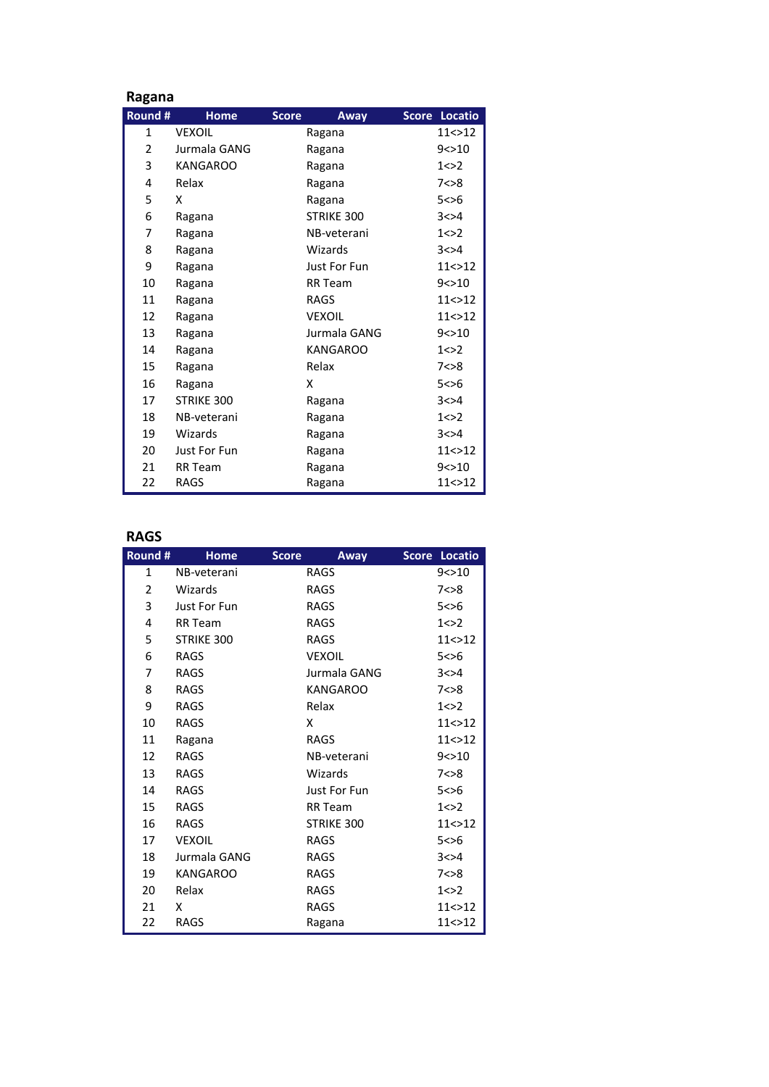| Ragana       |                 |                      |               |
|--------------|-----------------|----------------------|---------------|
| Round #      | <b>Home</b>     | <b>Score</b><br>Away | Score Locatio |
| $\mathbf{1}$ | <b>VEXOIL</b>   | Ragana               | 11 < > 12     |
| 2            | Jurmala GANG    | Ragana               | 9 < > 10      |
| 3            | <b>KANGAROO</b> | Ragana               | 1 < > 2       |
| 4            | Relax           | Ragana               | 7 < > 8       |
| 5            | x               | Ragana               | 5 < > 6       |
| 6            | Ragana          | STRIKE 300           | 3 < > 4       |
| 7            | Ragana          | NB-veterani          | 1 < > 2       |
| 8            | Ragana          | Wizards              | 3 < > 4       |
| 9            | Ragana          | <b>Just For Fun</b>  | 11 < > 12     |
| 10           | Ragana          | <b>RR</b> Team       | 9 < > 10      |
| 11           | Ragana          | <b>RAGS</b>          | 11<>12        |
| 12           | Ragana          | <b>VEXOIL</b>        | 11 < > 12     |
| 13           | Ragana          | Jurmala GANG         | 9 < > 10      |
| 14           | Ragana          | <b>KANGAROO</b>      | 1 < > 2       |
| 15           | Ragana          | Relax                | 7 < > 8       |
| 16           | Ragana          | x                    | 5 < > 6       |
| 17           | STRIKE 300      | Ragana               | 3 < > 4       |
| 18           | NB-veterani     | Ragana               | 1 < > 2       |
| 19           | Wizards         | Ragana               | 3 < > 4       |
| 20           | Just For Fun    | Ragana               | 11 < > 12     |
| 21           | <b>RR</b> Team  | Ragana               | 9 < > 10      |
| 22           | <b>RAGS</b>     | Ragana               | 11<>12        |

# **RAGS**

| Round #        | <b>Home</b>     | <b>Score</b><br>Away | Score Locatio |
|----------------|-----------------|----------------------|---------------|
| $\mathbf{1}$   | NB-veterani     | <b>RAGS</b>          | 9 < > 10      |
| $\overline{2}$ | Wizards         | <b>RAGS</b>          | 7 < > 8       |
| 3              | Just For Fun    | <b>RAGS</b>          | 5 < > 6       |
| 4              | <b>RR</b> Team  | <b>RAGS</b>          | 1 < > 2       |
| 5              | STRIKE 300      | <b>RAGS</b>          | 11 < > 12     |
| 6              | <b>RAGS</b>     | <b>VEXOIL</b>        | 5 < > 6       |
| 7              | <b>RAGS</b>     | Jurmala GANG         | 3 < > 4       |
| 8              | <b>RAGS</b>     | <b>KANGAROO</b>      | 7 < > 8       |
| 9              | <b>RAGS</b>     | Relax                | 1 < > 2       |
| 10             | <b>RAGS</b>     | x                    | 11 < > 12     |
| 11             | Ragana          | <b>RAGS</b>          | 11 < > 12     |
| 12             | <b>RAGS</b>     | NB-veterani          | 9 < > 10      |
| 13             | <b>RAGS</b>     | Wizards              | 7 < > 8       |
| 14             | <b>RAGS</b>     | <b>Just For Fun</b>  | 5 < > 6       |
| 15             | <b>RAGS</b>     | <b>RR</b> Team       | 1 < > 2       |
| 16             | <b>RAGS</b>     | STRIKE 300           | 11 < > 12     |
| 17             | <b>VEXOIL</b>   | <b>RAGS</b>          | 5 < > 6       |
| 18             | Jurmala GANG    | <b>RAGS</b>          | 3 < > 4       |
| 19             | <b>KANGAROO</b> | <b>RAGS</b>          | 7 < > 8       |
| 20             | Relax           | <b>RAGS</b>          | 1 < > 2       |
| 21             | x               | <b>RAGS</b>          | 11 < > 12     |
| 22             | RAGS            | Ragana               | 11 < > 12     |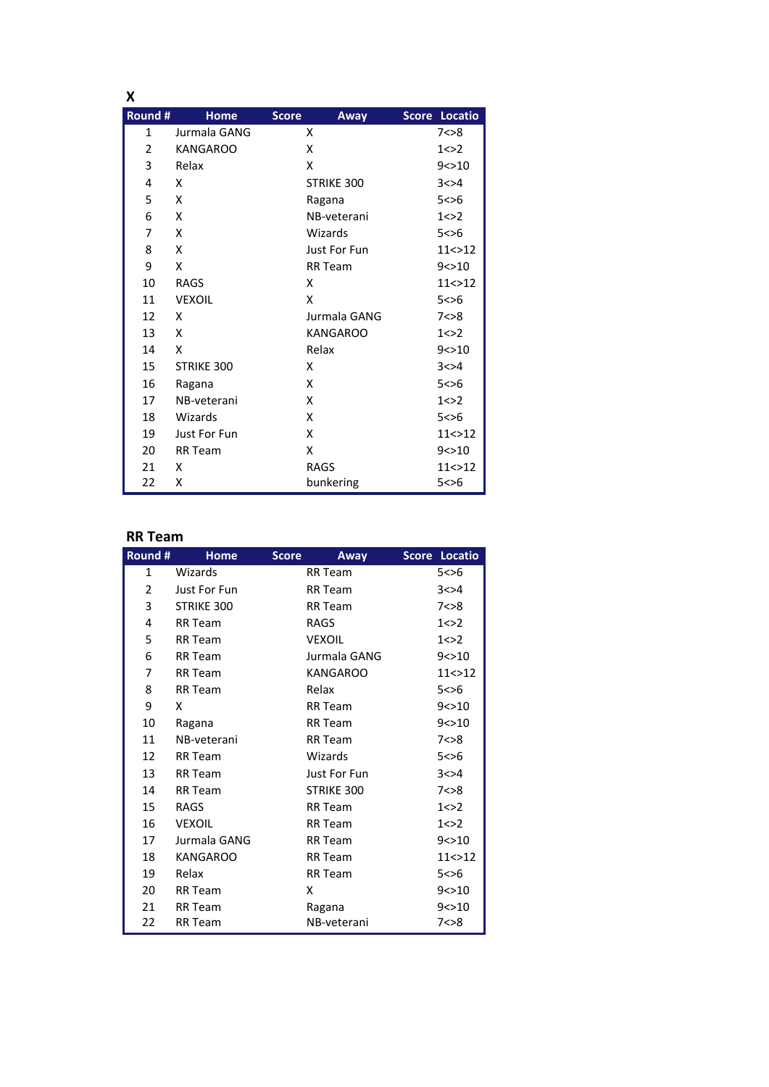| x              |                 |                      |               |
|----------------|-----------------|----------------------|---------------|
| Round #        | <b>Home</b>     | <b>Score</b><br>Away | Score Locatio |
| $\mathbf{1}$   | Jurmala GANG    | x                    | 7 < > 8       |
| $\overline{2}$ | <b>KANGAROO</b> | x                    | 1 < > 2       |
| 3              | Relax           | x                    | 9 < > 10      |
| 4              | X               | STRIKE 300           | 3 < > 4       |
| 5              | X               | Ragana               | 5 < > 6       |
| 6              | X               | NB-veterani          | 1 < > 2       |
| 7              | X               | Wizards              | 5 < > 6       |
| 8              | X               | Just For Fun         | 11 < > 12     |
| 9              | X               | <b>RR</b> Team       | 9 < > 10      |
| 10             | <b>RAGS</b>     | x                    | 11 < > 12     |
| 11             | <b>VEXOIL</b>   | x                    | 5 < > 6       |
| 12             | X               | Jurmala GANG         | 7 < > 8       |
| 13             | x               | <b>KANGAROO</b>      | 1 < > 2       |
| 14             | X               | Relax                | 9 < > 10      |
| 15             | STRIKE 300      | x                    | 3 < > 4       |
| 16             | Ragana          | x                    | 5 < > 6       |
| 17             | NB-veterani     | x                    | 1 < > 2       |
| 18             | Wizards         | x                    | 5 < > 6       |
| 19             | Just For Fun    | x                    | 11 < > 12     |
| 20             | <b>RR</b> Team  | x                    | 9 < > 10      |
| 21             | x               | <b>RAGS</b>          | 11 < > 12     |
| 22             | x               | bunkering            | 5 < > 6       |

## **RR Team**

| Round #      | <b>Home</b>     | <b>Score</b> | Away            | Score Locatio |
|--------------|-----------------|--------------|-----------------|---------------|
| $\mathbf{1}$ | Wizards         |              | RR Team         | 5 < > 6       |
| 2            | Just For Fun    |              | <b>RR</b> Team  | 3 < > 4       |
| 3            | STRIKE 300      |              | <b>RR</b> Team  | 7 < > 8       |
| 4            | <b>RR</b> Team  |              | <b>RAGS</b>     | 1 < > 2       |
| 5            | <b>RR</b> Team  |              | <b>VEXOIL</b>   | 1 < > 2       |
| 6            | <b>RR</b> Team  |              | Jurmala GANG    | 9 < > 10      |
| 7            | <b>RR</b> Team  |              | <b>KANGAROO</b> | 11 < > 12     |
| 8            | <b>RR</b> Team  |              | Relax           | 5 < > 6       |
| 9            | x               |              | <b>RR</b> Team  | 9 < > 10      |
| 10           | Ragana          |              | <b>RR</b> Team  | 9 < > 10      |
| 11           | NB-veterani     |              | <b>RR</b> Team  | 7 < > 8       |
| 12           | <b>RR</b> Team  |              | Wizards         | 5 < > 6       |
| 13           | <b>RR</b> Team  |              | Just For Fun    | 3 < > 4       |
| 14           | <b>RR</b> Team  |              | STRIKE 300      | 7 < > 8       |
| 15           | <b>RAGS</b>     |              | <b>RR</b> Team  | 1 < > 2       |
| 16           | <b>VEXOIL</b>   |              | <b>RR</b> Team  | 1 < > 2       |
| 17           | Jurmala GANG    |              | RR Team         | 9 < > 10      |
| 18           | <b>KANGAROO</b> |              | <b>RR</b> Team  | 11 < > 12     |
| 19           | Relax           |              | <b>RR</b> Team  | 5 < > 6       |
| 20           | <b>RR</b> Team  | Χ            |                 | 9 < > 10      |
| 21           | <b>RR</b> Team  |              | Ragana          | 9 < > 10      |
| 22           | <b>RR</b> Team  |              | NB-veterani     | 7 < > 8       |